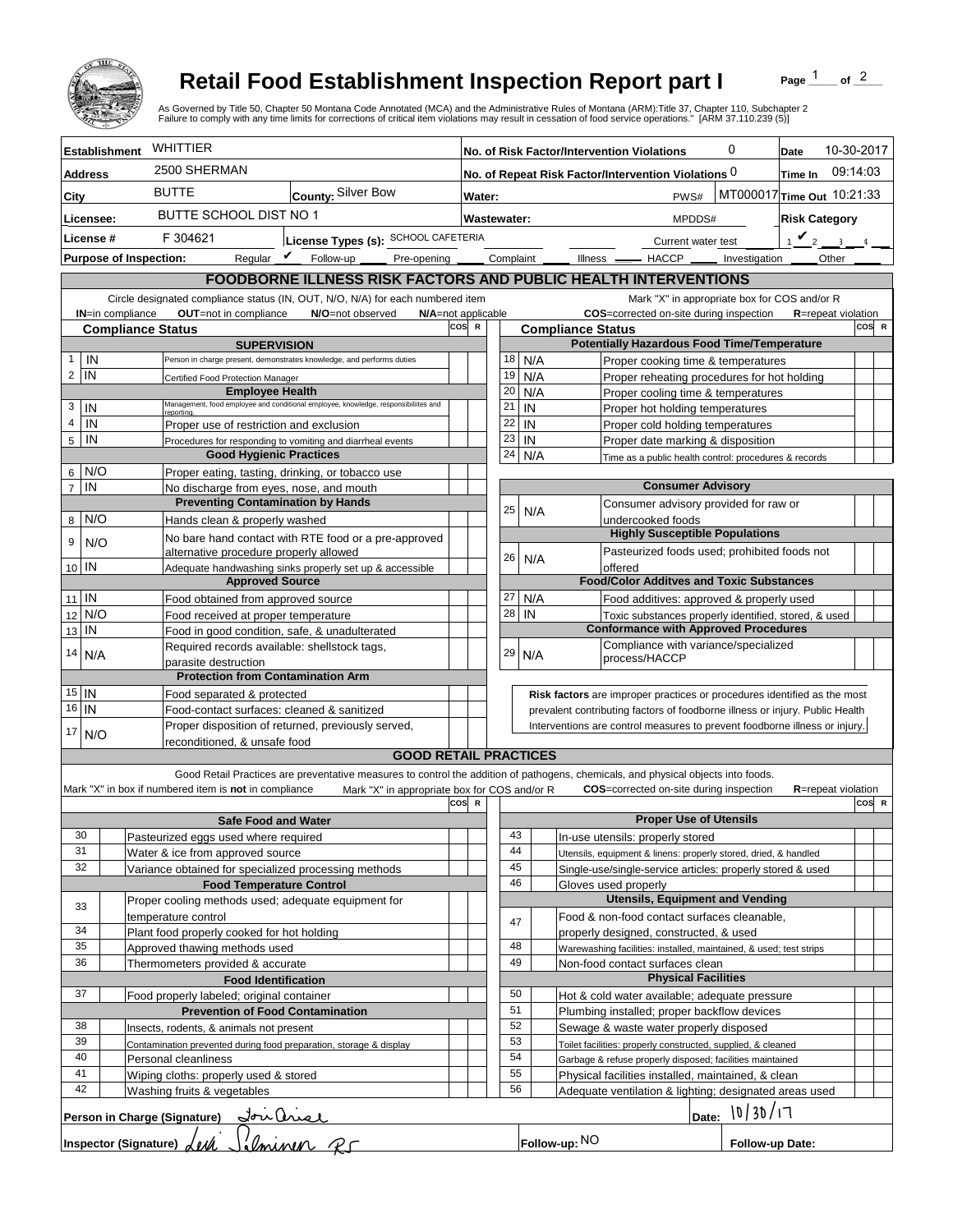

## **Retail Food Establishment Inspection Report part I**

Page  $\frac{1}{1}$  of  $\frac{2}{1}$ 

| WHITTIER<br>10-30-2017<br>0<br><b>Establishment</b><br>No. of Risk Factor/Intervention Violations<br>Date<br>2500 SHERMAN<br>09:14:03<br>No. of Repeat Risk Factor/Intervention Violations 0<br>Time In<br><b>Address</b><br><b>BUTTE</b><br>County: Silver Bow<br>MT000017 Time Out 10:21:33<br>PWS#<br>City<br>Water:<br>BUTTE SCHOOL DIST NO 1<br><b>Risk Category</b><br>Licensee:<br>Wastewater:<br>MPDDS#<br>$1$ $\vee$ 2<br>License #<br>F 304621<br>License Types (s): SCHOOL CAFETERIA<br>$\overline{3}$<br>Current water test<br>Reqular $\triangledown$ Follow-up<br>Complaint _<br><b>Purpose of Inspection:</b><br>Other<br>Pre-opening _____<br>Illness <u>- HACCP</u><br>Investigation<br><b>FOODBORNE ILLNESS RISK FACTORS AND PUBLIC HEALTH INTERVENTIONS</b><br>Circle designated compliance status (IN, OUT, N/O, N/A) for each numbered item<br>Mark "X" in appropriate box for COS and/or R<br>OUT=not in compliance<br>COS=corrected on-site during inspection<br><b>IN=in compliance</b><br>N/O=not observed<br>N/A=not applicable<br><b>R</b> =repeat violation<br>cos<br>COS R<br>$\mathbb{R}$<br><b>Compliance Status</b><br><b>Compliance Status</b><br><b>Potentially Hazardous Food Time/Temperature</b><br><b>SUPERVISION</b><br>IN<br>$\mathbf{1}$<br>18<br>N/A<br>Person in charge present, demonstrates knowledge, and performs duties<br>Proper cooking time & temperatures<br>$\overline{2}$<br>IN<br>19<br>N/A<br>Proper reheating procedures for hot holding<br>Certified Food Protection Manager<br><b>Employee Health</b><br>20<br>N/A<br>Proper cooling time & temperatures<br>Management, food employee and conditional employee, knowledge, responsibiliites and<br>3<br>IN<br>21<br>IN<br>Proper hot holding temperatures<br>reportina.<br>$\overline{4}$<br>IN<br>22<br>IN<br>Proper use of restriction and exclusion<br>Proper cold holding temperatures<br>23<br>$5\phantom{.0}$<br>IN<br>IN<br>Proper date marking & disposition<br>Procedures for responding to vomiting and diarrheal events<br><b>Good Hygienic Practices</b><br>24<br>N/A<br>Time as a public health control: procedures & records<br>N/O<br>6 <sup>1</sup><br>Proper eating, tasting, drinking, or tobacco use<br>$\overline{7}$<br><b>Consumer Advisory</b><br>IN<br>No discharge from eyes, nose, and mouth<br><b>Preventing Contamination by Hands</b><br>Consumer advisory provided for raw or<br>25<br>N/A<br>N/O<br>8<br>Hands clean & properly washed<br>undercooked foods<br><b>Highly Susceptible Populations</b><br>No bare hand contact with RTE food or a pre-approved<br>9<br>N/O<br>Pasteurized foods used; prohibited foods not<br>alternative procedure properly allowed<br>26<br>N/A<br>10 IN<br>offered<br>Adequate handwashing sinks properly set up & accessible<br><b>Approved Source</b><br><b>Food/Color Additves and Toxic Substances</b><br>$11$ IN<br>27<br>N/A<br>Food obtained from approved source<br>Food additives: approved & properly used<br>28<br>N/O<br>IN<br>12<br>Food received at proper temperature<br>Toxic substances properly identified, stored, & used<br><b>Conformance with Approved Procedures</b><br>IN<br>13<br>Food in good condition, safe, & unadulterated<br>Compliance with variance/specialized<br>Required records available: shellstock tags,<br>29<br>14<br>N/A<br>N/A<br>process/HACCP<br>parasite destruction<br><b>Protection from Contamination Arm</b><br>$15$ IN<br>Food separated & protected<br>Risk factors are improper practices or procedures identified as the most<br>$\overline{16}$ IN<br>Food-contact surfaces: cleaned & sanitized<br>prevalent contributing factors of foodborne illness or injury. Public Health<br>Proper disposition of returned, previously served,<br>Interventions are control measures to prevent foodborne illness or injury.<br>17<br>N/O<br>reconditioned. & unsafe food<br><b>GOOD RETAIL PRACTICES</b><br>Good Retail Practices are preventative measures to control the addition of pathogens, chemicals, and physical objects into foods.<br>Mark "X" in box if numbered item is not in compliance<br>Mark "X" in appropriate box for COS and/or R<br><b>COS</b> =corrected on-site during inspection<br><b>R</b> =repeat violation<br>cos<br>COS R<br>$\mathbf R$<br><b>Proper Use of Utensils</b><br><b>Safe Food and Water</b><br>43<br>30<br>Pasteurized eggs used where required<br>In-use utensils: properly stored<br>44<br>31<br>Water & ice from approved source<br>Utensils, equipment & linens: properly stored, dried, & handled<br>32<br>45<br>Variance obtained for specialized processing methods<br>Single-use/single-service articles: properly stored & used<br>46<br><b>Food Temperature Control</b><br>Gloves used properly<br><b>Utensils, Equipment and Vending</b><br>Proper cooling methods used; adequate equipment for<br>33<br>Food & non-food contact surfaces cleanable,<br>temperature control<br>47<br>34<br>Plant food properly cooked for hot holding<br>properly designed, constructed, & used<br>35<br>48<br>Approved thawing methods used<br>Warewashing facilities: installed, maintained, & used; test strips<br>36<br>49<br>Thermometers provided & accurate<br>Non-food contact surfaces clean<br><b>Physical Facilities</b><br><b>Food Identification</b><br>50<br>37<br>Food properly labeled; original container<br>Hot & cold water available; adequate pressure<br>51<br><b>Prevention of Food Contamination</b><br>Plumbing installed; proper backflow devices<br>52<br>38<br>Sewage & waste water properly disposed<br>Insects, rodents, & animals not present<br>39<br>53<br>Contamination prevented during food preparation, storage & display<br>Toilet facilities: properly constructed, supplied, & cleaned<br>54<br>40<br>Personal cleanliness<br>Garbage & refuse properly disposed; facilities maintained<br>41<br>55<br>Wiping cloths: properly used & stored<br>Physical facilities installed, maintained, & clean<br>42<br>56<br>Washing fruits & vegetables<br>Adequate ventilation & lighting; designated areas used<br>Date: $ 0/30/17 $<br>Person in Charge (Signature)<br><u> Journal</u><br>Pelminen R5<br>Inspector (Signature) AM<br>Follow-up: NO<br>Follow-up Date: |  | <b>Retail Food Establishment Inspection Report part I</b><br>As Governed by Title 50, Chapter 50 Montana Code Annotated (MCA) and the Administrative Rules of Montana (ARM):Title 37, Chapter 110, Subchapter 2<br>Failure to comply with any time limits for corrections of critical item violations may result in cessation of food service operations." [ARM 37.110.239 (5)] |  |  |  |  |  |  | Page | of $2$ |  |
|-------------------------------------------------------------------------------------------------------------------------------------------------------------------------------------------------------------------------------------------------------------------------------------------------------------------------------------------------------------------------------------------------------------------------------------------------------------------------------------------------------------------------------------------------------------------------------------------------------------------------------------------------------------------------------------------------------------------------------------------------------------------------------------------------------------------------------------------------------------------------------------------------------------------------------------------------------------------------------------------------------------------------------------------------------------------------------------------------------------------------------------------------------------------------------------------------------------------------------------------------------------------------------------------------------------------------------------------------------------------------------------------------------------------------------------------------------------------------------------------------------------------------------------------------------------------------------------------------------------------------------------------------------------------------------------------------------------------------------------------------------------------------------------------------------------------------------------------------------------------------------------------------------------------------------------------------------------------------------------------------------------------------------------------------------------------------------------------------------------------------------------------------------------------------------------------------------------------------------------------------------------------------------------------------------------------------------------------------------------------------------------------------------------------------------------------------------------------------------------------------------------------------------------------------------------------------------------------------------------------------------------------------------------------------------------------------------------------------------------------------------------------------------------------------------------------------------------------------------------------------------------------------------------------------------------------------------------------------------------------------------------------------------------------------------------------------------------------------------------------------------------------------------------------------------------------------------------------------------------------------------------------------------------------------------------------------------------------------------------------------------------------------------------------------------------------------------------------------------------------------------------------------------------------------------------------------------------------------------------------------------------------------------------------------------------------------------------------------------------------------------------------------------------------------------------------------------------------------------------------------------------------------------------------------------------------------------------------------------------------------------------------------------------------------------------------------------------------------------------------------------------------------------------------------------------------------------------------------------------------------------------------------------------------------------------------------------------------------------------------------------------------------------------------------------------------------------------------------------------------------------------------------------------------------------------------------------------------------------------------------------------------------------------------------------------------------------------------------------------------------------------------------------------------------------------------------------------------------------------------------------------------------------------------------------------------------------------------------------------------------------------------------------------------------------------------------------------------------------------------------------------------------------------------------------------------------------------------------------------------------------------------------------------------------------------------------------------------------------------------------------------------------------------------------------------------------------------------------------------------------------------------------------------------------------------------------------------------------------------------------------------------------------------------------------------------------------------------------------------------------------------------------------------------------------------------------------------------------------------------------------------------------------------------------------------------------------------------------------------------------------------------------------------------------------------------------------------------------------------------------------------------------------------------------------------------------------------------------------------------------------------------------|--|---------------------------------------------------------------------------------------------------------------------------------------------------------------------------------------------------------------------------------------------------------------------------------------------------------------------------------------------------------------------------------|--|--|--|--|--|--|------|--------|--|
|                                                                                                                                                                                                                                                                                                                                                                                                                                                                                                                                                                                                                                                                                                                                                                                                                                                                                                                                                                                                                                                                                                                                                                                                                                                                                                                                                                                                                                                                                                                                                                                                                                                                                                                                                                                                                                                                                                                                                                                                                                                                                                                                                                                                                                                                                                                                                                                                                                                                                                                                                                                                                                                                                                                                                                                                                                                                                                                                                                                                                                                                                                                                                                                                                                                                                                                                                                                                                                                                                                                                                                                                                                                                                                                                                                                                                                                                                                                                                                                                                                                                                                                                                                                                                                                                                                                                                                                                                                                                                                                                                                                                                                                                                                                                                                                                                                                                                                                                                                                                                                                                                                                                                                                                                                                                                                                                                                                                                                                                                                                                                                                                                                                                                                                                                                                                                                                                                                                                                                                                                                                                                                                                                                                                                                                                         |  |                                                                                                                                                                                                                                                                                                                                                                                 |  |  |  |  |  |  |      |        |  |
|                                                                                                                                                                                                                                                                                                                                                                                                                                                                                                                                                                                                                                                                                                                                                                                                                                                                                                                                                                                                                                                                                                                                                                                                                                                                                                                                                                                                                                                                                                                                                                                                                                                                                                                                                                                                                                                                                                                                                                                                                                                                                                                                                                                                                                                                                                                                                                                                                                                                                                                                                                                                                                                                                                                                                                                                                                                                                                                                                                                                                                                                                                                                                                                                                                                                                                                                                                                                                                                                                                                                                                                                                                                                                                                                                                                                                                                                                                                                                                                                                                                                                                                                                                                                                                                                                                                                                                                                                                                                                                                                                                                                                                                                                                                                                                                                                                                                                                                                                                                                                                                                                                                                                                                                                                                                                                                                                                                                                                                                                                                                                                                                                                                                                                                                                                                                                                                                                                                                                                                                                                                                                                                                                                                                                                                                         |  |                                                                                                                                                                                                                                                                                                                                                                                 |  |  |  |  |  |  |      |        |  |
|                                                                                                                                                                                                                                                                                                                                                                                                                                                                                                                                                                                                                                                                                                                                                                                                                                                                                                                                                                                                                                                                                                                                                                                                                                                                                                                                                                                                                                                                                                                                                                                                                                                                                                                                                                                                                                                                                                                                                                                                                                                                                                                                                                                                                                                                                                                                                                                                                                                                                                                                                                                                                                                                                                                                                                                                                                                                                                                                                                                                                                                                                                                                                                                                                                                                                                                                                                                                                                                                                                                                                                                                                                                                                                                                                                                                                                                                                                                                                                                                                                                                                                                                                                                                                                                                                                                                                                                                                                                                                                                                                                                                                                                                                                                                                                                                                                                                                                                                                                                                                                                                                                                                                                                                                                                                                                                                                                                                                                                                                                                                                                                                                                                                                                                                                                                                                                                                                                                                                                                                                                                                                                                                                                                                                                                                         |  |                                                                                                                                                                                                                                                                                                                                                                                 |  |  |  |  |  |  |      |        |  |
|                                                                                                                                                                                                                                                                                                                                                                                                                                                                                                                                                                                                                                                                                                                                                                                                                                                                                                                                                                                                                                                                                                                                                                                                                                                                                                                                                                                                                                                                                                                                                                                                                                                                                                                                                                                                                                                                                                                                                                                                                                                                                                                                                                                                                                                                                                                                                                                                                                                                                                                                                                                                                                                                                                                                                                                                                                                                                                                                                                                                                                                                                                                                                                                                                                                                                                                                                                                                                                                                                                                                                                                                                                                                                                                                                                                                                                                                                                                                                                                                                                                                                                                                                                                                                                                                                                                                                                                                                                                                                                                                                                                                                                                                                                                                                                                                                                                                                                                                                                                                                                                                                                                                                                                                                                                                                                                                                                                                                                                                                                                                                                                                                                                                                                                                                                                                                                                                                                                                                                                                                                                                                                                                                                                                                                                                         |  |                                                                                                                                                                                                                                                                                                                                                                                 |  |  |  |  |  |  |      |        |  |
|                                                                                                                                                                                                                                                                                                                                                                                                                                                                                                                                                                                                                                                                                                                                                                                                                                                                                                                                                                                                                                                                                                                                                                                                                                                                                                                                                                                                                                                                                                                                                                                                                                                                                                                                                                                                                                                                                                                                                                                                                                                                                                                                                                                                                                                                                                                                                                                                                                                                                                                                                                                                                                                                                                                                                                                                                                                                                                                                                                                                                                                                                                                                                                                                                                                                                                                                                                                                                                                                                                                                                                                                                                                                                                                                                                                                                                                                                                                                                                                                                                                                                                                                                                                                                                                                                                                                                                                                                                                                                                                                                                                                                                                                                                                                                                                                                                                                                                                                                                                                                                                                                                                                                                                                                                                                                                                                                                                                                                                                                                                                                                                                                                                                                                                                                                                                                                                                                                                                                                                                                                                                                                                                                                                                                                                                         |  |                                                                                                                                                                                                                                                                                                                                                                                 |  |  |  |  |  |  |      |        |  |
|                                                                                                                                                                                                                                                                                                                                                                                                                                                                                                                                                                                                                                                                                                                                                                                                                                                                                                                                                                                                                                                                                                                                                                                                                                                                                                                                                                                                                                                                                                                                                                                                                                                                                                                                                                                                                                                                                                                                                                                                                                                                                                                                                                                                                                                                                                                                                                                                                                                                                                                                                                                                                                                                                                                                                                                                                                                                                                                                                                                                                                                                                                                                                                                                                                                                                                                                                                                                                                                                                                                                                                                                                                                                                                                                                                                                                                                                                                                                                                                                                                                                                                                                                                                                                                                                                                                                                                                                                                                                                                                                                                                                                                                                                                                                                                                                                                                                                                                                                                                                                                                                                                                                                                                                                                                                                                                                                                                                                                                                                                                                                                                                                                                                                                                                                                                                                                                                                                                                                                                                                                                                                                                                                                                                                                                                         |  |                                                                                                                                                                                                                                                                                                                                                                                 |  |  |  |  |  |  |      |        |  |
|                                                                                                                                                                                                                                                                                                                                                                                                                                                                                                                                                                                                                                                                                                                                                                                                                                                                                                                                                                                                                                                                                                                                                                                                                                                                                                                                                                                                                                                                                                                                                                                                                                                                                                                                                                                                                                                                                                                                                                                                                                                                                                                                                                                                                                                                                                                                                                                                                                                                                                                                                                                                                                                                                                                                                                                                                                                                                                                                                                                                                                                                                                                                                                                                                                                                                                                                                                                                                                                                                                                                                                                                                                                                                                                                                                                                                                                                                                                                                                                                                                                                                                                                                                                                                                                                                                                                                                                                                                                                                                                                                                                                                                                                                                                                                                                                                                                                                                                                                                                                                                                                                                                                                                                                                                                                                                                                                                                                                                                                                                                                                                                                                                                                                                                                                                                                                                                                                                                                                                                                                                                                                                                                                                                                                                                                         |  |                                                                                                                                                                                                                                                                                                                                                                                 |  |  |  |  |  |  |      |        |  |
|                                                                                                                                                                                                                                                                                                                                                                                                                                                                                                                                                                                                                                                                                                                                                                                                                                                                                                                                                                                                                                                                                                                                                                                                                                                                                                                                                                                                                                                                                                                                                                                                                                                                                                                                                                                                                                                                                                                                                                                                                                                                                                                                                                                                                                                                                                                                                                                                                                                                                                                                                                                                                                                                                                                                                                                                                                                                                                                                                                                                                                                                                                                                                                                                                                                                                                                                                                                                                                                                                                                                                                                                                                                                                                                                                                                                                                                                                                                                                                                                                                                                                                                                                                                                                                                                                                                                                                                                                                                                                                                                                                                                                                                                                                                                                                                                                                                                                                                                                                                                                                                                                                                                                                                                                                                                                                                                                                                                                                                                                                                                                                                                                                                                                                                                                                                                                                                                                                                                                                                                                                                                                                                                                                                                                                                                         |  |                                                                                                                                                                                                                                                                                                                                                                                 |  |  |  |  |  |  |      |        |  |
|                                                                                                                                                                                                                                                                                                                                                                                                                                                                                                                                                                                                                                                                                                                                                                                                                                                                                                                                                                                                                                                                                                                                                                                                                                                                                                                                                                                                                                                                                                                                                                                                                                                                                                                                                                                                                                                                                                                                                                                                                                                                                                                                                                                                                                                                                                                                                                                                                                                                                                                                                                                                                                                                                                                                                                                                                                                                                                                                                                                                                                                                                                                                                                                                                                                                                                                                                                                                                                                                                                                                                                                                                                                                                                                                                                                                                                                                                                                                                                                                                                                                                                                                                                                                                                                                                                                                                                                                                                                                                                                                                                                                                                                                                                                                                                                                                                                                                                                                                                                                                                                                                                                                                                                                                                                                                                                                                                                                                                                                                                                                                                                                                                                                                                                                                                                                                                                                                                                                                                                                                                                                                                                                                                                                                                                                         |  |                                                                                                                                                                                                                                                                                                                                                                                 |  |  |  |  |  |  |      |        |  |
|                                                                                                                                                                                                                                                                                                                                                                                                                                                                                                                                                                                                                                                                                                                                                                                                                                                                                                                                                                                                                                                                                                                                                                                                                                                                                                                                                                                                                                                                                                                                                                                                                                                                                                                                                                                                                                                                                                                                                                                                                                                                                                                                                                                                                                                                                                                                                                                                                                                                                                                                                                                                                                                                                                                                                                                                                                                                                                                                                                                                                                                                                                                                                                                                                                                                                                                                                                                                                                                                                                                                                                                                                                                                                                                                                                                                                                                                                                                                                                                                                                                                                                                                                                                                                                                                                                                                                                                                                                                                                                                                                                                                                                                                                                                                                                                                                                                                                                                                                                                                                                                                                                                                                                                                                                                                                                                                                                                                                                                                                                                                                                                                                                                                                                                                                                                                                                                                                                                                                                                                                                                                                                                                                                                                                                                                         |  |                                                                                                                                                                                                                                                                                                                                                                                 |  |  |  |  |  |  |      |        |  |
|                                                                                                                                                                                                                                                                                                                                                                                                                                                                                                                                                                                                                                                                                                                                                                                                                                                                                                                                                                                                                                                                                                                                                                                                                                                                                                                                                                                                                                                                                                                                                                                                                                                                                                                                                                                                                                                                                                                                                                                                                                                                                                                                                                                                                                                                                                                                                                                                                                                                                                                                                                                                                                                                                                                                                                                                                                                                                                                                                                                                                                                                                                                                                                                                                                                                                                                                                                                                                                                                                                                                                                                                                                                                                                                                                                                                                                                                                                                                                                                                                                                                                                                                                                                                                                                                                                                                                                                                                                                                                                                                                                                                                                                                                                                                                                                                                                                                                                                                                                                                                                                                                                                                                                                                                                                                                                                                                                                                                                                                                                                                                                                                                                                                                                                                                                                                                                                                                                                                                                                                                                                                                                                                                                                                                                                                         |  |                                                                                                                                                                                                                                                                                                                                                                                 |  |  |  |  |  |  |      |        |  |
|                                                                                                                                                                                                                                                                                                                                                                                                                                                                                                                                                                                                                                                                                                                                                                                                                                                                                                                                                                                                                                                                                                                                                                                                                                                                                                                                                                                                                                                                                                                                                                                                                                                                                                                                                                                                                                                                                                                                                                                                                                                                                                                                                                                                                                                                                                                                                                                                                                                                                                                                                                                                                                                                                                                                                                                                                                                                                                                                                                                                                                                                                                                                                                                                                                                                                                                                                                                                                                                                                                                                                                                                                                                                                                                                                                                                                                                                                                                                                                                                                                                                                                                                                                                                                                                                                                                                                                                                                                                                                                                                                                                                                                                                                                                                                                                                                                                                                                                                                                                                                                                                                                                                                                                                                                                                                                                                                                                                                                                                                                                                                                                                                                                                                                                                                                                                                                                                                                                                                                                                                                                                                                                                                                                                                                                                         |  |                                                                                                                                                                                                                                                                                                                                                                                 |  |  |  |  |  |  |      |        |  |
|                                                                                                                                                                                                                                                                                                                                                                                                                                                                                                                                                                                                                                                                                                                                                                                                                                                                                                                                                                                                                                                                                                                                                                                                                                                                                                                                                                                                                                                                                                                                                                                                                                                                                                                                                                                                                                                                                                                                                                                                                                                                                                                                                                                                                                                                                                                                                                                                                                                                                                                                                                                                                                                                                                                                                                                                                                                                                                                                                                                                                                                                                                                                                                                                                                                                                                                                                                                                                                                                                                                                                                                                                                                                                                                                                                                                                                                                                                                                                                                                                                                                                                                                                                                                                                                                                                                                                                                                                                                                                                                                                                                                                                                                                                                                                                                                                                                                                                                                                                                                                                                                                                                                                                                                                                                                                                                                                                                                                                                                                                                                                                                                                                                                                                                                                                                                                                                                                                                                                                                                                                                                                                                                                                                                                                                                         |  |                                                                                                                                                                                                                                                                                                                                                                                 |  |  |  |  |  |  |      |        |  |
|                                                                                                                                                                                                                                                                                                                                                                                                                                                                                                                                                                                                                                                                                                                                                                                                                                                                                                                                                                                                                                                                                                                                                                                                                                                                                                                                                                                                                                                                                                                                                                                                                                                                                                                                                                                                                                                                                                                                                                                                                                                                                                                                                                                                                                                                                                                                                                                                                                                                                                                                                                                                                                                                                                                                                                                                                                                                                                                                                                                                                                                                                                                                                                                                                                                                                                                                                                                                                                                                                                                                                                                                                                                                                                                                                                                                                                                                                                                                                                                                                                                                                                                                                                                                                                                                                                                                                                                                                                                                                                                                                                                                                                                                                                                                                                                                                                                                                                                                                                                                                                                                                                                                                                                                                                                                                                                                                                                                                                                                                                                                                                                                                                                                                                                                                                                                                                                                                                                                                                                                                                                                                                                                                                                                                                                                         |  |                                                                                                                                                                                                                                                                                                                                                                                 |  |  |  |  |  |  |      |        |  |
|                                                                                                                                                                                                                                                                                                                                                                                                                                                                                                                                                                                                                                                                                                                                                                                                                                                                                                                                                                                                                                                                                                                                                                                                                                                                                                                                                                                                                                                                                                                                                                                                                                                                                                                                                                                                                                                                                                                                                                                                                                                                                                                                                                                                                                                                                                                                                                                                                                                                                                                                                                                                                                                                                                                                                                                                                                                                                                                                                                                                                                                                                                                                                                                                                                                                                                                                                                                                                                                                                                                                                                                                                                                                                                                                                                                                                                                                                                                                                                                                                                                                                                                                                                                                                                                                                                                                                                                                                                                                                                                                                                                                                                                                                                                                                                                                                                                                                                                                                                                                                                                                                                                                                                                                                                                                                                                                                                                                                                                                                                                                                                                                                                                                                                                                                                                                                                                                                                                                                                                                                                                                                                                                                                                                                                                                         |  |                                                                                                                                                                                                                                                                                                                                                                                 |  |  |  |  |  |  |      |        |  |
|                                                                                                                                                                                                                                                                                                                                                                                                                                                                                                                                                                                                                                                                                                                                                                                                                                                                                                                                                                                                                                                                                                                                                                                                                                                                                                                                                                                                                                                                                                                                                                                                                                                                                                                                                                                                                                                                                                                                                                                                                                                                                                                                                                                                                                                                                                                                                                                                                                                                                                                                                                                                                                                                                                                                                                                                                                                                                                                                                                                                                                                                                                                                                                                                                                                                                                                                                                                                                                                                                                                                                                                                                                                                                                                                                                                                                                                                                                                                                                                                                                                                                                                                                                                                                                                                                                                                                                                                                                                                                                                                                                                                                                                                                                                                                                                                                                                                                                                                                                                                                                                                                                                                                                                                                                                                                                                                                                                                                                                                                                                                                                                                                                                                                                                                                                                                                                                                                                                                                                                                                                                                                                                                                                                                                                                                         |  |                                                                                                                                                                                                                                                                                                                                                                                 |  |  |  |  |  |  |      |        |  |
|                                                                                                                                                                                                                                                                                                                                                                                                                                                                                                                                                                                                                                                                                                                                                                                                                                                                                                                                                                                                                                                                                                                                                                                                                                                                                                                                                                                                                                                                                                                                                                                                                                                                                                                                                                                                                                                                                                                                                                                                                                                                                                                                                                                                                                                                                                                                                                                                                                                                                                                                                                                                                                                                                                                                                                                                                                                                                                                                                                                                                                                                                                                                                                                                                                                                                                                                                                                                                                                                                                                                                                                                                                                                                                                                                                                                                                                                                                                                                                                                                                                                                                                                                                                                                                                                                                                                                                                                                                                                                                                                                                                                                                                                                                                                                                                                                                                                                                                                                                                                                                                                                                                                                                                                                                                                                                                                                                                                                                                                                                                                                                                                                                                                                                                                                                                                                                                                                                                                                                                                                                                                                                                                                                                                                                                                         |  |                                                                                                                                                                                                                                                                                                                                                                                 |  |  |  |  |  |  |      |        |  |
|                                                                                                                                                                                                                                                                                                                                                                                                                                                                                                                                                                                                                                                                                                                                                                                                                                                                                                                                                                                                                                                                                                                                                                                                                                                                                                                                                                                                                                                                                                                                                                                                                                                                                                                                                                                                                                                                                                                                                                                                                                                                                                                                                                                                                                                                                                                                                                                                                                                                                                                                                                                                                                                                                                                                                                                                                                                                                                                                                                                                                                                                                                                                                                                                                                                                                                                                                                                                                                                                                                                                                                                                                                                                                                                                                                                                                                                                                                                                                                                                                                                                                                                                                                                                                                                                                                                                                                                                                                                                                                                                                                                                                                                                                                                                                                                                                                                                                                                                                                                                                                                                                                                                                                                                                                                                                                                                                                                                                                                                                                                                                                                                                                                                                                                                                                                                                                                                                                                                                                                                                                                                                                                                                                                                                                                                         |  |                                                                                                                                                                                                                                                                                                                                                                                 |  |  |  |  |  |  |      |        |  |
|                                                                                                                                                                                                                                                                                                                                                                                                                                                                                                                                                                                                                                                                                                                                                                                                                                                                                                                                                                                                                                                                                                                                                                                                                                                                                                                                                                                                                                                                                                                                                                                                                                                                                                                                                                                                                                                                                                                                                                                                                                                                                                                                                                                                                                                                                                                                                                                                                                                                                                                                                                                                                                                                                                                                                                                                                                                                                                                                                                                                                                                                                                                                                                                                                                                                                                                                                                                                                                                                                                                                                                                                                                                                                                                                                                                                                                                                                                                                                                                                                                                                                                                                                                                                                                                                                                                                                                                                                                                                                                                                                                                                                                                                                                                                                                                                                                                                                                                                                                                                                                                                                                                                                                                                                                                                                                                                                                                                                                                                                                                                                                                                                                                                                                                                                                                                                                                                                                                                                                                                                                                                                                                                                                                                                                                                         |  |                                                                                                                                                                                                                                                                                                                                                                                 |  |  |  |  |  |  |      |        |  |
|                                                                                                                                                                                                                                                                                                                                                                                                                                                                                                                                                                                                                                                                                                                                                                                                                                                                                                                                                                                                                                                                                                                                                                                                                                                                                                                                                                                                                                                                                                                                                                                                                                                                                                                                                                                                                                                                                                                                                                                                                                                                                                                                                                                                                                                                                                                                                                                                                                                                                                                                                                                                                                                                                                                                                                                                                                                                                                                                                                                                                                                                                                                                                                                                                                                                                                                                                                                                                                                                                                                                                                                                                                                                                                                                                                                                                                                                                                                                                                                                                                                                                                                                                                                                                                                                                                                                                                                                                                                                                                                                                                                                                                                                                                                                                                                                                                                                                                                                                                                                                                                                                                                                                                                                                                                                                                                                                                                                                                                                                                                                                                                                                                                                                                                                                                                                                                                                                                                                                                                                                                                                                                                                                                                                                                                                         |  |                                                                                                                                                                                                                                                                                                                                                                                 |  |  |  |  |  |  |      |        |  |
|                                                                                                                                                                                                                                                                                                                                                                                                                                                                                                                                                                                                                                                                                                                                                                                                                                                                                                                                                                                                                                                                                                                                                                                                                                                                                                                                                                                                                                                                                                                                                                                                                                                                                                                                                                                                                                                                                                                                                                                                                                                                                                                                                                                                                                                                                                                                                                                                                                                                                                                                                                                                                                                                                                                                                                                                                                                                                                                                                                                                                                                                                                                                                                                                                                                                                                                                                                                                                                                                                                                                                                                                                                                                                                                                                                                                                                                                                                                                                                                                                                                                                                                                                                                                                                                                                                                                                                                                                                                                                                                                                                                                                                                                                                                                                                                                                                                                                                                                                                                                                                                                                                                                                                                                                                                                                                                                                                                                                                                                                                                                                                                                                                                                                                                                                                                                                                                                                                                                                                                                                                                                                                                                                                                                                                                                         |  |                                                                                                                                                                                                                                                                                                                                                                                 |  |  |  |  |  |  |      |        |  |
|                                                                                                                                                                                                                                                                                                                                                                                                                                                                                                                                                                                                                                                                                                                                                                                                                                                                                                                                                                                                                                                                                                                                                                                                                                                                                                                                                                                                                                                                                                                                                                                                                                                                                                                                                                                                                                                                                                                                                                                                                                                                                                                                                                                                                                                                                                                                                                                                                                                                                                                                                                                                                                                                                                                                                                                                                                                                                                                                                                                                                                                                                                                                                                                                                                                                                                                                                                                                                                                                                                                                                                                                                                                                                                                                                                                                                                                                                                                                                                                                                                                                                                                                                                                                                                                                                                                                                                                                                                                                                                                                                                                                                                                                                                                                                                                                                                                                                                                                                                                                                                                                                                                                                                                                                                                                                                                                                                                                                                                                                                                                                                                                                                                                                                                                                                                                                                                                                                                                                                                                                                                                                                                                                                                                                                                                         |  |                                                                                                                                                                                                                                                                                                                                                                                 |  |  |  |  |  |  |      |        |  |
|                                                                                                                                                                                                                                                                                                                                                                                                                                                                                                                                                                                                                                                                                                                                                                                                                                                                                                                                                                                                                                                                                                                                                                                                                                                                                                                                                                                                                                                                                                                                                                                                                                                                                                                                                                                                                                                                                                                                                                                                                                                                                                                                                                                                                                                                                                                                                                                                                                                                                                                                                                                                                                                                                                                                                                                                                                                                                                                                                                                                                                                                                                                                                                                                                                                                                                                                                                                                                                                                                                                                                                                                                                                                                                                                                                                                                                                                                                                                                                                                                                                                                                                                                                                                                                                                                                                                                                                                                                                                                                                                                                                                                                                                                                                                                                                                                                                                                                                                                                                                                                                                                                                                                                                                                                                                                                                                                                                                                                                                                                                                                                                                                                                                                                                                                                                                                                                                                                                                                                                                                                                                                                                                                                                                                                                                         |  |                                                                                                                                                                                                                                                                                                                                                                                 |  |  |  |  |  |  |      |        |  |
|                                                                                                                                                                                                                                                                                                                                                                                                                                                                                                                                                                                                                                                                                                                                                                                                                                                                                                                                                                                                                                                                                                                                                                                                                                                                                                                                                                                                                                                                                                                                                                                                                                                                                                                                                                                                                                                                                                                                                                                                                                                                                                                                                                                                                                                                                                                                                                                                                                                                                                                                                                                                                                                                                                                                                                                                                                                                                                                                                                                                                                                                                                                                                                                                                                                                                                                                                                                                                                                                                                                                                                                                                                                                                                                                                                                                                                                                                                                                                                                                                                                                                                                                                                                                                                                                                                                                                                                                                                                                                                                                                                                                                                                                                                                                                                                                                                                                                                                                                                                                                                                                                                                                                                                                                                                                                                                                                                                                                                                                                                                                                                                                                                                                                                                                                                                                                                                                                                                                                                                                                                                                                                                                                                                                                                                                         |  |                                                                                                                                                                                                                                                                                                                                                                                 |  |  |  |  |  |  |      |        |  |
|                                                                                                                                                                                                                                                                                                                                                                                                                                                                                                                                                                                                                                                                                                                                                                                                                                                                                                                                                                                                                                                                                                                                                                                                                                                                                                                                                                                                                                                                                                                                                                                                                                                                                                                                                                                                                                                                                                                                                                                                                                                                                                                                                                                                                                                                                                                                                                                                                                                                                                                                                                                                                                                                                                                                                                                                                                                                                                                                                                                                                                                                                                                                                                                                                                                                                                                                                                                                                                                                                                                                                                                                                                                                                                                                                                                                                                                                                                                                                                                                                                                                                                                                                                                                                                                                                                                                                                                                                                                                                                                                                                                                                                                                                                                                                                                                                                                                                                                                                                                                                                                                                                                                                                                                                                                                                                                                                                                                                                                                                                                                                                                                                                                                                                                                                                                                                                                                                                                                                                                                                                                                                                                                                                                                                                                                         |  |                                                                                                                                                                                                                                                                                                                                                                                 |  |  |  |  |  |  |      |        |  |
|                                                                                                                                                                                                                                                                                                                                                                                                                                                                                                                                                                                                                                                                                                                                                                                                                                                                                                                                                                                                                                                                                                                                                                                                                                                                                                                                                                                                                                                                                                                                                                                                                                                                                                                                                                                                                                                                                                                                                                                                                                                                                                                                                                                                                                                                                                                                                                                                                                                                                                                                                                                                                                                                                                                                                                                                                                                                                                                                                                                                                                                                                                                                                                                                                                                                                                                                                                                                                                                                                                                                                                                                                                                                                                                                                                                                                                                                                                                                                                                                                                                                                                                                                                                                                                                                                                                                                                                                                                                                                                                                                                                                                                                                                                                                                                                                                                                                                                                                                                                                                                                                                                                                                                                                                                                                                                                                                                                                                                                                                                                                                                                                                                                                                                                                                                                                                                                                                                                                                                                                                                                                                                                                                                                                                                                                         |  |                                                                                                                                                                                                                                                                                                                                                                                 |  |  |  |  |  |  |      |        |  |
|                                                                                                                                                                                                                                                                                                                                                                                                                                                                                                                                                                                                                                                                                                                                                                                                                                                                                                                                                                                                                                                                                                                                                                                                                                                                                                                                                                                                                                                                                                                                                                                                                                                                                                                                                                                                                                                                                                                                                                                                                                                                                                                                                                                                                                                                                                                                                                                                                                                                                                                                                                                                                                                                                                                                                                                                                                                                                                                                                                                                                                                                                                                                                                                                                                                                                                                                                                                                                                                                                                                                                                                                                                                                                                                                                                                                                                                                                                                                                                                                                                                                                                                                                                                                                                                                                                                                                                                                                                                                                                                                                                                                                                                                                                                                                                                                                                                                                                                                                                                                                                                                                                                                                                                                                                                                                                                                                                                                                                                                                                                                                                                                                                                                                                                                                                                                                                                                                                                                                                                                                                                                                                                                                                                                                                                                         |  |                                                                                                                                                                                                                                                                                                                                                                                 |  |  |  |  |  |  |      |        |  |
|                                                                                                                                                                                                                                                                                                                                                                                                                                                                                                                                                                                                                                                                                                                                                                                                                                                                                                                                                                                                                                                                                                                                                                                                                                                                                                                                                                                                                                                                                                                                                                                                                                                                                                                                                                                                                                                                                                                                                                                                                                                                                                                                                                                                                                                                                                                                                                                                                                                                                                                                                                                                                                                                                                                                                                                                                                                                                                                                                                                                                                                                                                                                                                                                                                                                                                                                                                                                                                                                                                                                                                                                                                                                                                                                                                                                                                                                                                                                                                                                                                                                                                                                                                                                                                                                                                                                                                                                                                                                                                                                                                                                                                                                                                                                                                                                                                                                                                                                                                                                                                                                                                                                                                                                                                                                                                                                                                                                                                                                                                                                                                                                                                                                                                                                                                                                                                                                                                                                                                                                                                                                                                                                                                                                                                                                         |  |                                                                                                                                                                                                                                                                                                                                                                                 |  |  |  |  |  |  |      |        |  |
|                                                                                                                                                                                                                                                                                                                                                                                                                                                                                                                                                                                                                                                                                                                                                                                                                                                                                                                                                                                                                                                                                                                                                                                                                                                                                                                                                                                                                                                                                                                                                                                                                                                                                                                                                                                                                                                                                                                                                                                                                                                                                                                                                                                                                                                                                                                                                                                                                                                                                                                                                                                                                                                                                                                                                                                                                                                                                                                                                                                                                                                                                                                                                                                                                                                                                                                                                                                                                                                                                                                                                                                                                                                                                                                                                                                                                                                                                                                                                                                                                                                                                                                                                                                                                                                                                                                                                                                                                                                                                                                                                                                                                                                                                                                                                                                                                                                                                                                                                                                                                                                                                                                                                                                                                                                                                                                                                                                                                                                                                                                                                                                                                                                                                                                                                                                                                                                                                                                                                                                                                                                                                                                                                                                                                                                                         |  |                                                                                                                                                                                                                                                                                                                                                                                 |  |  |  |  |  |  |      |        |  |
|                                                                                                                                                                                                                                                                                                                                                                                                                                                                                                                                                                                                                                                                                                                                                                                                                                                                                                                                                                                                                                                                                                                                                                                                                                                                                                                                                                                                                                                                                                                                                                                                                                                                                                                                                                                                                                                                                                                                                                                                                                                                                                                                                                                                                                                                                                                                                                                                                                                                                                                                                                                                                                                                                                                                                                                                                                                                                                                                                                                                                                                                                                                                                                                                                                                                                                                                                                                                                                                                                                                                                                                                                                                                                                                                                                                                                                                                                                                                                                                                                                                                                                                                                                                                                                                                                                                                                                                                                                                                                                                                                                                                                                                                                                                                                                                                                                                                                                                                                                                                                                                                                                                                                                                                                                                                                                                                                                                                                                                                                                                                                                                                                                                                                                                                                                                                                                                                                                                                                                                                                                                                                                                                                                                                                                                                         |  |                                                                                                                                                                                                                                                                                                                                                                                 |  |  |  |  |  |  |      |        |  |
|                                                                                                                                                                                                                                                                                                                                                                                                                                                                                                                                                                                                                                                                                                                                                                                                                                                                                                                                                                                                                                                                                                                                                                                                                                                                                                                                                                                                                                                                                                                                                                                                                                                                                                                                                                                                                                                                                                                                                                                                                                                                                                                                                                                                                                                                                                                                                                                                                                                                                                                                                                                                                                                                                                                                                                                                                                                                                                                                                                                                                                                                                                                                                                                                                                                                                                                                                                                                                                                                                                                                                                                                                                                                                                                                                                                                                                                                                                                                                                                                                                                                                                                                                                                                                                                                                                                                                                                                                                                                                                                                                                                                                                                                                                                                                                                                                                                                                                                                                                                                                                                                                                                                                                                                                                                                                                                                                                                                                                                                                                                                                                                                                                                                                                                                                                                                                                                                                                                                                                                                                                                                                                                                                                                                                                                                         |  |                                                                                                                                                                                                                                                                                                                                                                                 |  |  |  |  |  |  |      |        |  |
|                                                                                                                                                                                                                                                                                                                                                                                                                                                                                                                                                                                                                                                                                                                                                                                                                                                                                                                                                                                                                                                                                                                                                                                                                                                                                                                                                                                                                                                                                                                                                                                                                                                                                                                                                                                                                                                                                                                                                                                                                                                                                                                                                                                                                                                                                                                                                                                                                                                                                                                                                                                                                                                                                                                                                                                                                                                                                                                                                                                                                                                                                                                                                                                                                                                                                                                                                                                                                                                                                                                                                                                                                                                                                                                                                                                                                                                                                                                                                                                                                                                                                                                                                                                                                                                                                                                                                                                                                                                                                                                                                                                                                                                                                                                                                                                                                                                                                                                                                                                                                                                                                                                                                                                                                                                                                                                                                                                                                                                                                                                                                                                                                                                                                                                                                                                                                                                                                                                                                                                                                                                                                                                                                                                                                                                                         |  |                                                                                                                                                                                                                                                                                                                                                                                 |  |  |  |  |  |  |      |        |  |
|                                                                                                                                                                                                                                                                                                                                                                                                                                                                                                                                                                                                                                                                                                                                                                                                                                                                                                                                                                                                                                                                                                                                                                                                                                                                                                                                                                                                                                                                                                                                                                                                                                                                                                                                                                                                                                                                                                                                                                                                                                                                                                                                                                                                                                                                                                                                                                                                                                                                                                                                                                                                                                                                                                                                                                                                                                                                                                                                                                                                                                                                                                                                                                                                                                                                                                                                                                                                                                                                                                                                                                                                                                                                                                                                                                                                                                                                                                                                                                                                                                                                                                                                                                                                                                                                                                                                                                                                                                                                                                                                                                                                                                                                                                                                                                                                                                                                                                                                                                                                                                                                                                                                                                                                                                                                                                                                                                                                                                                                                                                                                                                                                                                                                                                                                                                                                                                                                                                                                                                                                                                                                                                                                                                                                                                                         |  |                                                                                                                                                                                                                                                                                                                                                                                 |  |  |  |  |  |  |      |        |  |
|                                                                                                                                                                                                                                                                                                                                                                                                                                                                                                                                                                                                                                                                                                                                                                                                                                                                                                                                                                                                                                                                                                                                                                                                                                                                                                                                                                                                                                                                                                                                                                                                                                                                                                                                                                                                                                                                                                                                                                                                                                                                                                                                                                                                                                                                                                                                                                                                                                                                                                                                                                                                                                                                                                                                                                                                                                                                                                                                                                                                                                                                                                                                                                                                                                                                                                                                                                                                                                                                                                                                                                                                                                                                                                                                                                                                                                                                                                                                                                                                                                                                                                                                                                                                                                                                                                                                                                                                                                                                                                                                                                                                                                                                                                                                                                                                                                                                                                                                                                                                                                                                                                                                                                                                                                                                                                                                                                                                                                                                                                                                                                                                                                                                                                                                                                                                                                                                                                                                                                                                                                                                                                                                                                                                                                                                         |  |                                                                                                                                                                                                                                                                                                                                                                                 |  |  |  |  |  |  |      |        |  |
|                                                                                                                                                                                                                                                                                                                                                                                                                                                                                                                                                                                                                                                                                                                                                                                                                                                                                                                                                                                                                                                                                                                                                                                                                                                                                                                                                                                                                                                                                                                                                                                                                                                                                                                                                                                                                                                                                                                                                                                                                                                                                                                                                                                                                                                                                                                                                                                                                                                                                                                                                                                                                                                                                                                                                                                                                                                                                                                                                                                                                                                                                                                                                                                                                                                                                                                                                                                                                                                                                                                                                                                                                                                                                                                                                                                                                                                                                                                                                                                                                                                                                                                                                                                                                                                                                                                                                                                                                                                                                                                                                                                                                                                                                                                                                                                                                                                                                                                                                                                                                                                                                                                                                                                                                                                                                                                                                                                                                                                                                                                                                                                                                                                                                                                                                                                                                                                                                                                                                                                                                                                                                                                                                                                                                                                                         |  |                                                                                                                                                                                                                                                                                                                                                                                 |  |  |  |  |  |  |      |        |  |
|                                                                                                                                                                                                                                                                                                                                                                                                                                                                                                                                                                                                                                                                                                                                                                                                                                                                                                                                                                                                                                                                                                                                                                                                                                                                                                                                                                                                                                                                                                                                                                                                                                                                                                                                                                                                                                                                                                                                                                                                                                                                                                                                                                                                                                                                                                                                                                                                                                                                                                                                                                                                                                                                                                                                                                                                                                                                                                                                                                                                                                                                                                                                                                                                                                                                                                                                                                                                                                                                                                                                                                                                                                                                                                                                                                                                                                                                                                                                                                                                                                                                                                                                                                                                                                                                                                                                                                                                                                                                                                                                                                                                                                                                                                                                                                                                                                                                                                                                                                                                                                                                                                                                                                                                                                                                                                                                                                                                                                                                                                                                                                                                                                                                                                                                                                                                                                                                                                                                                                                                                                                                                                                                                                                                                                                                         |  |                                                                                                                                                                                                                                                                                                                                                                                 |  |  |  |  |  |  |      |        |  |
|                                                                                                                                                                                                                                                                                                                                                                                                                                                                                                                                                                                                                                                                                                                                                                                                                                                                                                                                                                                                                                                                                                                                                                                                                                                                                                                                                                                                                                                                                                                                                                                                                                                                                                                                                                                                                                                                                                                                                                                                                                                                                                                                                                                                                                                                                                                                                                                                                                                                                                                                                                                                                                                                                                                                                                                                                                                                                                                                                                                                                                                                                                                                                                                                                                                                                                                                                                                                                                                                                                                                                                                                                                                                                                                                                                                                                                                                                                                                                                                                                                                                                                                                                                                                                                                                                                                                                                                                                                                                                                                                                                                                                                                                                                                                                                                                                                                                                                                                                                                                                                                                                                                                                                                                                                                                                                                                                                                                                                                                                                                                                                                                                                                                                                                                                                                                                                                                                                                                                                                                                                                                                                                                                                                                                                                                         |  |                                                                                                                                                                                                                                                                                                                                                                                 |  |  |  |  |  |  |      |        |  |
|                                                                                                                                                                                                                                                                                                                                                                                                                                                                                                                                                                                                                                                                                                                                                                                                                                                                                                                                                                                                                                                                                                                                                                                                                                                                                                                                                                                                                                                                                                                                                                                                                                                                                                                                                                                                                                                                                                                                                                                                                                                                                                                                                                                                                                                                                                                                                                                                                                                                                                                                                                                                                                                                                                                                                                                                                                                                                                                                                                                                                                                                                                                                                                                                                                                                                                                                                                                                                                                                                                                                                                                                                                                                                                                                                                                                                                                                                                                                                                                                                                                                                                                                                                                                                                                                                                                                                                                                                                                                                                                                                                                                                                                                                                                                                                                                                                                                                                                                                                                                                                                                                                                                                                                                                                                                                                                                                                                                                                                                                                                                                                                                                                                                                                                                                                                                                                                                                                                                                                                                                                                                                                                                                                                                                                                                         |  |                                                                                                                                                                                                                                                                                                                                                                                 |  |  |  |  |  |  |      |        |  |
|                                                                                                                                                                                                                                                                                                                                                                                                                                                                                                                                                                                                                                                                                                                                                                                                                                                                                                                                                                                                                                                                                                                                                                                                                                                                                                                                                                                                                                                                                                                                                                                                                                                                                                                                                                                                                                                                                                                                                                                                                                                                                                                                                                                                                                                                                                                                                                                                                                                                                                                                                                                                                                                                                                                                                                                                                                                                                                                                                                                                                                                                                                                                                                                                                                                                                                                                                                                                                                                                                                                                                                                                                                                                                                                                                                                                                                                                                                                                                                                                                                                                                                                                                                                                                                                                                                                                                                                                                                                                                                                                                                                                                                                                                                                                                                                                                                                                                                                                                                                                                                                                                                                                                                                                                                                                                                                                                                                                                                                                                                                                                                                                                                                                                                                                                                                                                                                                                                                                                                                                                                                                                                                                                                                                                                                                         |  |                                                                                                                                                                                                                                                                                                                                                                                 |  |  |  |  |  |  |      |        |  |
|                                                                                                                                                                                                                                                                                                                                                                                                                                                                                                                                                                                                                                                                                                                                                                                                                                                                                                                                                                                                                                                                                                                                                                                                                                                                                                                                                                                                                                                                                                                                                                                                                                                                                                                                                                                                                                                                                                                                                                                                                                                                                                                                                                                                                                                                                                                                                                                                                                                                                                                                                                                                                                                                                                                                                                                                                                                                                                                                                                                                                                                                                                                                                                                                                                                                                                                                                                                                                                                                                                                                                                                                                                                                                                                                                                                                                                                                                                                                                                                                                                                                                                                                                                                                                                                                                                                                                                                                                                                                                                                                                                                                                                                                                                                                                                                                                                                                                                                                                                                                                                                                                                                                                                                                                                                                                                                                                                                                                                                                                                                                                                                                                                                                                                                                                                                                                                                                                                                                                                                                                                                                                                                                                                                                                                                                         |  |                                                                                                                                                                                                                                                                                                                                                                                 |  |  |  |  |  |  |      |        |  |
|                                                                                                                                                                                                                                                                                                                                                                                                                                                                                                                                                                                                                                                                                                                                                                                                                                                                                                                                                                                                                                                                                                                                                                                                                                                                                                                                                                                                                                                                                                                                                                                                                                                                                                                                                                                                                                                                                                                                                                                                                                                                                                                                                                                                                                                                                                                                                                                                                                                                                                                                                                                                                                                                                                                                                                                                                                                                                                                                                                                                                                                                                                                                                                                                                                                                                                                                                                                                                                                                                                                                                                                                                                                                                                                                                                                                                                                                                                                                                                                                                                                                                                                                                                                                                                                                                                                                                                                                                                                                                                                                                                                                                                                                                                                                                                                                                                                                                                                                                                                                                                                                                                                                                                                                                                                                                                                                                                                                                                                                                                                                                                                                                                                                                                                                                                                                                                                                                                                                                                                                                                                                                                                                                                                                                                                                         |  |                                                                                                                                                                                                                                                                                                                                                                                 |  |  |  |  |  |  |      |        |  |
|                                                                                                                                                                                                                                                                                                                                                                                                                                                                                                                                                                                                                                                                                                                                                                                                                                                                                                                                                                                                                                                                                                                                                                                                                                                                                                                                                                                                                                                                                                                                                                                                                                                                                                                                                                                                                                                                                                                                                                                                                                                                                                                                                                                                                                                                                                                                                                                                                                                                                                                                                                                                                                                                                                                                                                                                                                                                                                                                                                                                                                                                                                                                                                                                                                                                                                                                                                                                                                                                                                                                                                                                                                                                                                                                                                                                                                                                                                                                                                                                                                                                                                                                                                                                                                                                                                                                                                                                                                                                                                                                                                                                                                                                                                                                                                                                                                                                                                                                                                                                                                                                                                                                                                                                                                                                                                                                                                                                                                                                                                                                                                                                                                                                                                                                                                                                                                                                                                                                                                                                                                                                                                                                                                                                                                                                         |  |                                                                                                                                                                                                                                                                                                                                                                                 |  |  |  |  |  |  |      |        |  |
|                                                                                                                                                                                                                                                                                                                                                                                                                                                                                                                                                                                                                                                                                                                                                                                                                                                                                                                                                                                                                                                                                                                                                                                                                                                                                                                                                                                                                                                                                                                                                                                                                                                                                                                                                                                                                                                                                                                                                                                                                                                                                                                                                                                                                                                                                                                                                                                                                                                                                                                                                                                                                                                                                                                                                                                                                                                                                                                                                                                                                                                                                                                                                                                                                                                                                                                                                                                                                                                                                                                                                                                                                                                                                                                                                                                                                                                                                                                                                                                                                                                                                                                                                                                                                                                                                                                                                                                                                                                                                                                                                                                                                                                                                                                                                                                                                                                                                                                                                                                                                                                                                                                                                                                                                                                                                                                                                                                                                                                                                                                                                                                                                                                                                                                                                                                                                                                                                                                                                                                                                                                                                                                                                                                                                                                                         |  |                                                                                                                                                                                                                                                                                                                                                                                 |  |  |  |  |  |  |      |        |  |
|                                                                                                                                                                                                                                                                                                                                                                                                                                                                                                                                                                                                                                                                                                                                                                                                                                                                                                                                                                                                                                                                                                                                                                                                                                                                                                                                                                                                                                                                                                                                                                                                                                                                                                                                                                                                                                                                                                                                                                                                                                                                                                                                                                                                                                                                                                                                                                                                                                                                                                                                                                                                                                                                                                                                                                                                                                                                                                                                                                                                                                                                                                                                                                                                                                                                                                                                                                                                                                                                                                                                                                                                                                                                                                                                                                                                                                                                                                                                                                                                                                                                                                                                                                                                                                                                                                                                                                                                                                                                                                                                                                                                                                                                                                                                                                                                                                                                                                                                                                                                                                                                                                                                                                                                                                                                                                                                                                                                                                                                                                                                                                                                                                                                                                                                                                                                                                                                                                                                                                                                                                                                                                                                                                                                                                                                         |  |                                                                                                                                                                                                                                                                                                                                                                                 |  |  |  |  |  |  |      |        |  |
|                                                                                                                                                                                                                                                                                                                                                                                                                                                                                                                                                                                                                                                                                                                                                                                                                                                                                                                                                                                                                                                                                                                                                                                                                                                                                                                                                                                                                                                                                                                                                                                                                                                                                                                                                                                                                                                                                                                                                                                                                                                                                                                                                                                                                                                                                                                                                                                                                                                                                                                                                                                                                                                                                                                                                                                                                                                                                                                                                                                                                                                                                                                                                                                                                                                                                                                                                                                                                                                                                                                                                                                                                                                                                                                                                                                                                                                                                                                                                                                                                                                                                                                                                                                                                                                                                                                                                                                                                                                                                                                                                                                                                                                                                                                                                                                                                                                                                                                                                                                                                                                                                                                                                                                                                                                                                                                                                                                                                                                                                                                                                                                                                                                                                                                                                                                                                                                                                                                                                                                                                                                                                                                                                                                                                                                                         |  |                                                                                                                                                                                                                                                                                                                                                                                 |  |  |  |  |  |  |      |        |  |
|                                                                                                                                                                                                                                                                                                                                                                                                                                                                                                                                                                                                                                                                                                                                                                                                                                                                                                                                                                                                                                                                                                                                                                                                                                                                                                                                                                                                                                                                                                                                                                                                                                                                                                                                                                                                                                                                                                                                                                                                                                                                                                                                                                                                                                                                                                                                                                                                                                                                                                                                                                                                                                                                                                                                                                                                                                                                                                                                                                                                                                                                                                                                                                                                                                                                                                                                                                                                                                                                                                                                                                                                                                                                                                                                                                                                                                                                                                                                                                                                                                                                                                                                                                                                                                                                                                                                                                                                                                                                                                                                                                                                                                                                                                                                                                                                                                                                                                                                                                                                                                                                                                                                                                                                                                                                                                                                                                                                                                                                                                                                                                                                                                                                                                                                                                                                                                                                                                                                                                                                                                                                                                                                                                                                                                                                         |  |                                                                                                                                                                                                                                                                                                                                                                                 |  |  |  |  |  |  |      |        |  |
|                                                                                                                                                                                                                                                                                                                                                                                                                                                                                                                                                                                                                                                                                                                                                                                                                                                                                                                                                                                                                                                                                                                                                                                                                                                                                                                                                                                                                                                                                                                                                                                                                                                                                                                                                                                                                                                                                                                                                                                                                                                                                                                                                                                                                                                                                                                                                                                                                                                                                                                                                                                                                                                                                                                                                                                                                                                                                                                                                                                                                                                                                                                                                                                                                                                                                                                                                                                                                                                                                                                                                                                                                                                                                                                                                                                                                                                                                                                                                                                                                                                                                                                                                                                                                                                                                                                                                                                                                                                                                                                                                                                                                                                                                                                                                                                                                                                                                                                                                                                                                                                                                                                                                                                                                                                                                                                                                                                                                                                                                                                                                                                                                                                                                                                                                                                                                                                                                                                                                                                                                                                                                                                                                                                                                                                                         |  |                                                                                                                                                                                                                                                                                                                                                                                 |  |  |  |  |  |  |      |        |  |
|                                                                                                                                                                                                                                                                                                                                                                                                                                                                                                                                                                                                                                                                                                                                                                                                                                                                                                                                                                                                                                                                                                                                                                                                                                                                                                                                                                                                                                                                                                                                                                                                                                                                                                                                                                                                                                                                                                                                                                                                                                                                                                                                                                                                                                                                                                                                                                                                                                                                                                                                                                                                                                                                                                                                                                                                                                                                                                                                                                                                                                                                                                                                                                                                                                                                                                                                                                                                                                                                                                                                                                                                                                                                                                                                                                                                                                                                                                                                                                                                                                                                                                                                                                                                                                                                                                                                                                                                                                                                                                                                                                                                                                                                                                                                                                                                                                                                                                                                                                                                                                                                                                                                                                                                                                                                                                                                                                                                                                                                                                                                                                                                                                                                                                                                                                                                                                                                                                                                                                                                                                                                                                                                                                                                                                                                         |  |                                                                                                                                                                                                                                                                                                                                                                                 |  |  |  |  |  |  |      |        |  |
|                                                                                                                                                                                                                                                                                                                                                                                                                                                                                                                                                                                                                                                                                                                                                                                                                                                                                                                                                                                                                                                                                                                                                                                                                                                                                                                                                                                                                                                                                                                                                                                                                                                                                                                                                                                                                                                                                                                                                                                                                                                                                                                                                                                                                                                                                                                                                                                                                                                                                                                                                                                                                                                                                                                                                                                                                                                                                                                                                                                                                                                                                                                                                                                                                                                                                                                                                                                                                                                                                                                                                                                                                                                                                                                                                                                                                                                                                                                                                                                                                                                                                                                                                                                                                                                                                                                                                                                                                                                                                                                                                                                                                                                                                                                                                                                                                                                                                                                                                                                                                                                                                                                                                                                                                                                                                                                                                                                                                                                                                                                                                                                                                                                                                                                                                                                                                                                                                                                                                                                                                                                                                                                                                                                                                                                                         |  |                                                                                                                                                                                                                                                                                                                                                                                 |  |  |  |  |  |  |      |        |  |
|                                                                                                                                                                                                                                                                                                                                                                                                                                                                                                                                                                                                                                                                                                                                                                                                                                                                                                                                                                                                                                                                                                                                                                                                                                                                                                                                                                                                                                                                                                                                                                                                                                                                                                                                                                                                                                                                                                                                                                                                                                                                                                                                                                                                                                                                                                                                                                                                                                                                                                                                                                                                                                                                                                                                                                                                                                                                                                                                                                                                                                                                                                                                                                                                                                                                                                                                                                                                                                                                                                                                                                                                                                                                                                                                                                                                                                                                                                                                                                                                                                                                                                                                                                                                                                                                                                                                                                                                                                                                                                                                                                                                                                                                                                                                                                                                                                                                                                                                                                                                                                                                                                                                                                                                                                                                                                                                                                                                                                                                                                                                                                                                                                                                                                                                                                                                                                                                                                                                                                                                                                                                                                                                                                                                                                                                         |  |                                                                                                                                                                                                                                                                                                                                                                                 |  |  |  |  |  |  |      |        |  |
|                                                                                                                                                                                                                                                                                                                                                                                                                                                                                                                                                                                                                                                                                                                                                                                                                                                                                                                                                                                                                                                                                                                                                                                                                                                                                                                                                                                                                                                                                                                                                                                                                                                                                                                                                                                                                                                                                                                                                                                                                                                                                                                                                                                                                                                                                                                                                                                                                                                                                                                                                                                                                                                                                                                                                                                                                                                                                                                                                                                                                                                                                                                                                                                                                                                                                                                                                                                                                                                                                                                                                                                                                                                                                                                                                                                                                                                                                                                                                                                                                                                                                                                                                                                                                                                                                                                                                                                                                                                                                                                                                                                                                                                                                                                                                                                                                                                                                                                                                                                                                                                                                                                                                                                                                                                                                                                                                                                                                                                                                                                                                                                                                                                                                                                                                                                                                                                                                                                                                                                                                                                                                                                                                                                                                                                                         |  |                                                                                                                                                                                                                                                                                                                                                                                 |  |  |  |  |  |  |      |        |  |
|                                                                                                                                                                                                                                                                                                                                                                                                                                                                                                                                                                                                                                                                                                                                                                                                                                                                                                                                                                                                                                                                                                                                                                                                                                                                                                                                                                                                                                                                                                                                                                                                                                                                                                                                                                                                                                                                                                                                                                                                                                                                                                                                                                                                                                                                                                                                                                                                                                                                                                                                                                                                                                                                                                                                                                                                                                                                                                                                                                                                                                                                                                                                                                                                                                                                                                                                                                                                                                                                                                                                                                                                                                                                                                                                                                                                                                                                                                                                                                                                                                                                                                                                                                                                                                                                                                                                                                                                                                                                                                                                                                                                                                                                                                                                                                                                                                                                                                                                                                                                                                                                                                                                                                                                                                                                                                                                                                                                                                                                                                                                                                                                                                                                                                                                                                                                                                                                                                                                                                                                                                                                                                                                                                                                                                                                         |  |                                                                                                                                                                                                                                                                                                                                                                                 |  |  |  |  |  |  |      |        |  |
|                                                                                                                                                                                                                                                                                                                                                                                                                                                                                                                                                                                                                                                                                                                                                                                                                                                                                                                                                                                                                                                                                                                                                                                                                                                                                                                                                                                                                                                                                                                                                                                                                                                                                                                                                                                                                                                                                                                                                                                                                                                                                                                                                                                                                                                                                                                                                                                                                                                                                                                                                                                                                                                                                                                                                                                                                                                                                                                                                                                                                                                                                                                                                                                                                                                                                                                                                                                                                                                                                                                                                                                                                                                                                                                                                                                                                                                                                                                                                                                                                                                                                                                                                                                                                                                                                                                                                                                                                                                                                                                                                                                                                                                                                                                                                                                                                                                                                                                                                                                                                                                                                                                                                                                                                                                                                                                                                                                                                                                                                                                                                                                                                                                                                                                                                                                                                                                                                                                                                                                                                                                                                                                                                                                                                                                                         |  |                                                                                                                                                                                                                                                                                                                                                                                 |  |  |  |  |  |  |      |        |  |